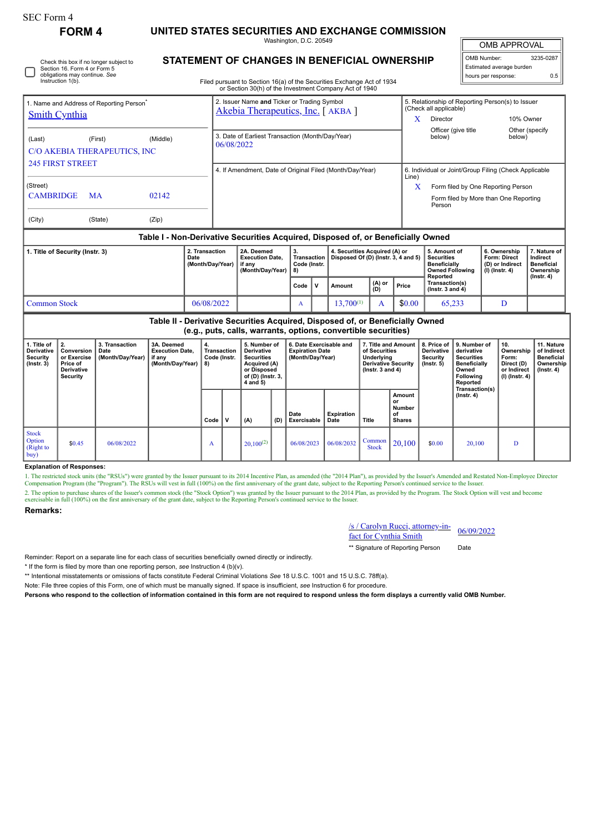# **FORM 4 UNITED STATES SECURITIES AND EXCHANGE COMMISSION**

Washington, D.C. 20549

OMB APPROVAL

| OMB Number: 3<br>Estimated average burden<br>hours per response: | 3235-0287 |  |  |  |  |  |  |  |
|------------------------------------------------------------------|-----------|--|--|--|--|--|--|--|
|                                                                  |           |  |  |  |  |  |  |  |
|                                                                  | 0.5       |  |  |  |  |  |  |  |

Filed pursuant to Section 16(a) of the Securities Exchange Act of 1934

|                                                                                  |         |       |                |                                                          | or Section 30(h) of the Investment Company Act of 1940                          |                                         |   |                                                                      |               |                                                       |                                                                                    |                                                                          |                                                            |  |
|----------------------------------------------------------------------------------|---------|-------|----------------|----------------------------------------------------------|---------------------------------------------------------------------------------|-----------------------------------------|---|----------------------------------------------------------------------|---------------|-------------------------------------------------------|------------------------------------------------------------------------------------|--------------------------------------------------------------------------|------------------------------------------------------------|--|
| 1. Name and Address of Reporting Person <sup>®</sup><br><b>Smith Cynthia</b>     |         |       |                |                                                          | 2. Issuer Name and Ticker or Trading Symbol<br>Akebia Therapeutics, Inc. [AKBA] |                                         |   |                                                                      |               |                                                       | 5. Relationship of Reporting Person(s) to Issuer<br>(Check all applicable)<br>X    |                                                                          |                                                            |  |
|                                                                                  |         |       |                |                                                          |                                                                                 |                                         |   |                                                                      |               |                                                       | Director                                                                           | 10% Owner                                                                |                                                            |  |
| (Middle)<br>(Last)<br>(First)<br>C/O AKEBIA THERAPEUTICS, INC                    |         |       |                |                                                          | 3. Date of Earliest Transaction (Month/Day/Year)<br>06/08/2022                  |                                         |   |                                                                      |               |                                                       | Officer (give title<br>below)                                                      | below)                                                                   | Other (specify                                             |  |
|                                                                                  |         |       |                |                                                          |                                                                                 |                                         |   |                                                                      |               |                                                       |                                                                                    |                                                                          |                                                            |  |
| <b>245 FIRST STREET</b>                                                          |         |       |                | 4. If Amendment, Date of Original Filed (Month/Day/Year) |                                                                                 |                                         |   |                                                                      | Line)         | 6. Individual or Joint/Group Filing (Check Applicable |                                                                                    |                                                                          |                                                            |  |
| (Street)<br><b>CAMBRIDGE</b><br>02142<br><b>MA</b>                               |         |       |                |                                                          |                                                                                 |                                         |   |                                                                      |               |                                                       | Form filed by One Reporting Person                                                 |                                                                          |                                                            |  |
|                                                                                  |         |       |                |                                                          |                                                                                 |                                         |   |                                                                      |               |                                                       | Form filed by More than One Reporting<br>Person                                    |                                                                          |                                                            |  |
| (City)                                                                           | (State) | (Zip) |                |                                                          |                                                                                 |                                         |   |                                                                      |               |                                                       |                                                                                    |                                                                          |                                                            |  |
| Table I - Non-Derivative Securities Acquired, Disposed of, or Beneficially Owned |         |       |                |                                                          |                                                                                 |                                         |   |                                                                      |               |                                                       |                                                                                    |                                                                          |                                                            |  |
| 1. Title of Security (Instr. 3)<br>Date                                          |         |       | 2. Transaction | (Month/Day/Year)                                         | 2A. Deemed<br><b>Execution Date.</b><br>if any<br>(Month/Day/Year)              | 3.<br>Transaction<br>Code (Instr.<br>8) |   | 4. Securities Acquired (A) or<br>Disposed Of (D) (Instr. 3, 4 and 5) |               |                                                       | 5. Amount of<br><b>Securities</b><br><b>Beneficially</b><br><b>Owned Following</b> | 6. Ownership<br><b>Form: Direct</b><br>(D) or Indirect<br>(I) (Instr. 4) | 7. Nature of<br>Indirect<br><b>Beneficial</b><br>Ownership |  |
|                                                                                  |         |       |                |                                                          |                                                                                 | Code                                    | v | Amount                                                               | (A) or<br>(D) | Price                                                 | Reported<br>Transaction(s)<br>( $lnstr. 3 and 4$ )                                 |                                                                          | $($ lnstr. 4 $)$                                           |  |
| 06/08/2022<br><b>Common Stock</b>                                                |         |       |                |                                                          |                                                                                 | A                                       |   | $13,700^{(1)}$                                                       | A             | \$0.00                                                | 65,233                                                                             | D                                                                        |                                                            |  |

#### **Table II - Derivative Securities Acquired, Disposed of, or Beneficially Owned (e.g., puts, calls, warrants, options, convertible securities) 1. Title of Derivative Security (Instr. 3) 2. Conversion or Exercise Price of Derivative Security 3. Transaction Date (Month/Day/Year) 3A. Deemed Execution Date, if any (Month/Day/Year) 4. Transaction Code (Instr. 8) 5. Number of Derivative Securities Acquired (A) or Disposed of (D) (Instr. 3, 4 and 5) 6. Date Exercisable and Expiration Date (Month/Day/Year) 7. Title and Amount of Securities Underlying Derivative Security (Instr. 3 and 4) 8. Price of Derivative Security (Instr. 5) 9. Number of derivative Securities Beneficially Owned Following Reported Transaction(s) (Instr. 4) 10. Ownership Form: Direct (D) or Indirect (I) (Instr. 4) 11. Nature of Indirect Beneficial Ownership (Instr. 4) Code V (A) (D) Date Exercisable Expiration Date Title Amount or Number of Shares** Stock **Option** (Right to buy)  $\bullet$  06/08/2022  $\parallel$  A  $\parallel$  20,100<sup>(2)</sup> 06/08/2023 06/08/2032 Common  $\begin{array}{|c|c|c|c|c|c|c|c|} \hline \text{Common} & 20,100 & 0.00 & 20,100 & D \ \hline \end{array}$

#### **Explanation of Responses:**

1. The restricted stock units (the "RSUs") were granted by the Issuer pursuant to its 2014 Incentive Plan, as amended (the "2014 Plan"), as provided by the Issuer's Amended and Restated Non-Employee Director Compensation Program (the "Program"). The RSUs will vest in full (100%) on the first anniversary of the grant date, subject to the Reporting Person's continued service to the Issuer. 2. The option to purchase shares of the Issuer's common stock (the "Stock Option") was granted by the Issuer pursuant to the 2014 Plan, as provided by the Program. The Stock Option will vest and become exercisable in full (100%) on the first anniversary of the grant date, subject to the Reporting Person's continued service to the Issuer.

### **Remarks:**

## /s / Carolyn Rucci, attorney-in- $\frac{f(s)$  Carolyn Kucci, attorney-in-<br>fact for Cynthia Smith

\*\* Signature of Reporting Person Date

Reminder: Report on a separate line for each class of securities beneficially owned directly or indirectly.

\* If the form is filed by more than one reporting person, *see* Instruction 4 (b)(v).

\*\* Intentional misstatements or omissions of facts constitute Federal Criminal Violations *See* 18 U.S.C. 1001 and 15 U.S.C. 78ff(a).

Note: File three copies of this Form, one of which must be manually signed. If space is insufficient, *see* Instruction 6 for procedure.

**Persons who respond to the collection of information contained in this form are not required to respond unless the form displays a currently valid OMB Number.**

Check this box if no longer subject to Section 16. Form 4 or Form 5 obligations may continue. *See* Instruction 1(b).

## **STATEMENT OF CHANGES IN BENEFICIAL OWNERSHIP**